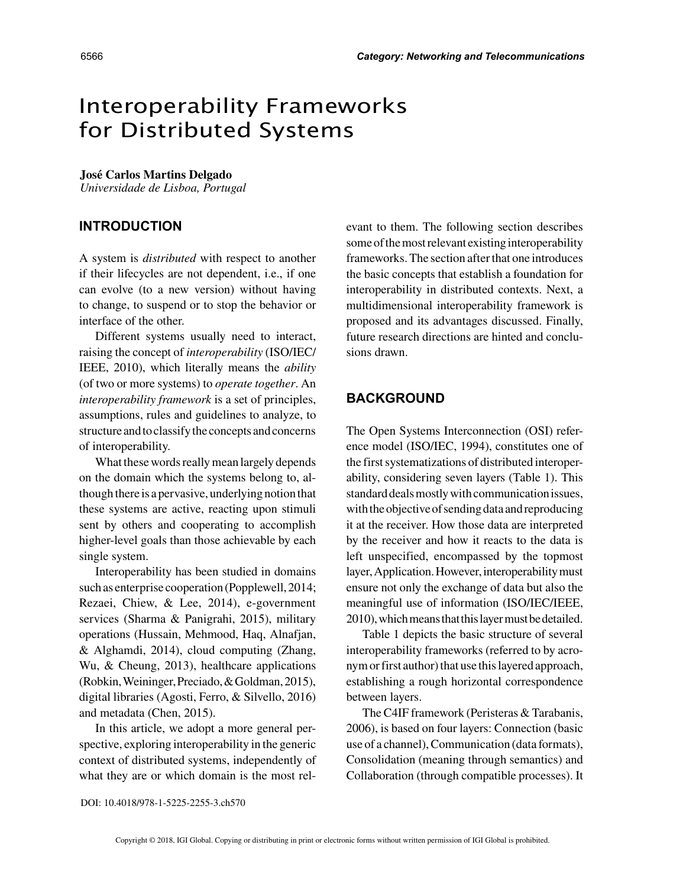# Interoperability Frameworks for Distributed Systems

#### **José Carlos Martins Delgado**

*Universidade de Lisboa, Portugal*

## **INTRODUCTION**

A system is *distributed* with respect to another if their lifecycles are not dependent, i.e., if one can evolve (to a new version) without having to change, to suspend or to stop the behavior or interface of the other.

Different systems usually need to interact, raising the concept of *interoperability* (ISO/IEC/ IEEE, 2010), which literally means the *ability* (of two or more systems) to *operate together*. An *interoperability framework* is a set of principles, assumptions, rules and guidelines to analyze, to structure and to classify the concepts and concerns of interoperability.

What these words really mean largely depends on the domain which the systems belong to, although there is a pervasive, underlying notion that these systems are active, reacting upon stimuli sent by others and cooperating to accomplish higher-level goals than those achievable by each single system.

Interoperability has been studied in domains such as enterprise cooperation (Popplewell, 2014; Rezaei, Chiew, & Lee, 2014), e-government services (Sharma & Panigrahi, 2015), military operations (Hussain, Mehmood, Haq, Alnafjan, & Alghamdi, 2014), cloud computing (Zhang, Wu, & Cheung, 2013), healthcare applications (Robkin, Weininger, Preciado, & Goldman, 2015), digital libraries (Agosti, Ferro, & Silvello, 2016) and metadata (Chen, 2015).

In this article, we adopt a more general perspective, exploring interoperability in the generic context of distributed systems, independently of what they are or which domain is the most relevant to them. The following section describes some of the most relevant existing interoperability frameworks. The section after that one introduces the basic concepts that establish a foundation for interoperability in distributed contexts. Next, a multidimensional interoperability framework is proposed and its advantages discussed. Finally, future research directions are hinted and conclusions drawn.

### **BACKGROUND**

The Open Systems Interconnection (OSI) reference model (ISO/IEC, 1994), constitutes one of the first systematizations of distributed interoperability, considering seven layers (Table 1). This standard deals mostly with communication issues, with the objective of sending data and reproducing it at the receiver. How those data are interpreted by the receiver and how it reacts to the data is left unspecified, encompassed by the topmost layer, Application. However, interoperability must ensure not only the exchange of data but also the meaningful use of information (ISO/IEC/IEEE, 2010), which means that this layer must be detailed.

Table 1 depicts the basic structure of several interoperability frameworks (referred to by acronym or first author) that use this layered approach, establishing a rough horizontal correspondence between layers.

The C4IF framework (Peristeras & Tarabanis, 2006), is based on four layers: Connection (basic use of a channel), Communication (data formats), Consolidation (meaning through semantics) and Collaboration (through compatible processes). It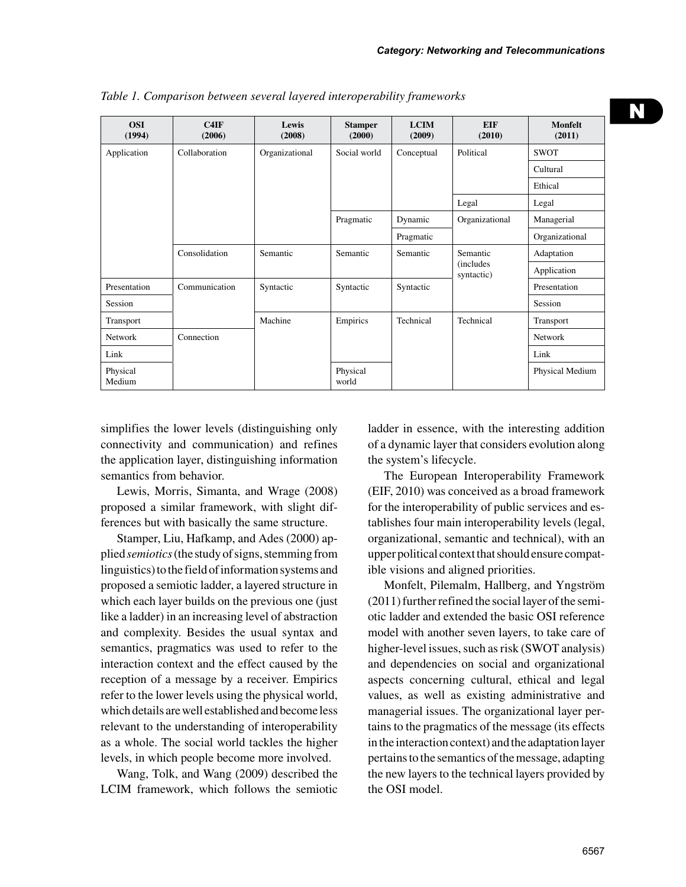| <b>OSI</b><br>(1994) | C4IF<br>(2006) | Lewis<br>(2008) | <b>Stamper</b><br>(2000) | <b>LCIM</b><br>(2009) | <b>EIF</b><br>(2010)                        | Monfelt<br>(2011) |
|----------------------|----------------|-----------------|--------------------------|-----------------------|---------------------------------------------|-------------------|
| Application          | Collaboration  | Organizational  | Social world             | Conceptual            | Political                                   | <b>SWOT</b>       |
|                      |                |                 |                          |                       |                                             | Cultural          |
|                      |                |                 |                          |                       |                                             | Ethical           |
|                      |                |                 |                          |                       | Legal                                       | Legal             |
|                      |                |                 | Pragmatic                | Dynamic               | Organizational                              | Managerial        |
|                      |                |                 |                          | Pragmatic             |                                             | Organizational    |
|                      | Consolidation  | Semantic        | Semantic                 | Semantic              | Semantic<br><i>(includes)</i><br>syntactic) | Adaptation        |
|                      |                |                 |                          |                       |                                             | Application       |
| Presentation         | Communication  | Syntactic       | Syntactic                | Syntactic             |                                             | Presentation      |
| Session              | Connection     |                 |                          |                       |                                             | Session           |
| Transport            |                | Machine         | Empirics                 | Technical             | Technical                                   | Transport         |
| <b>Network</b>       |                |                 |                          |                       |                                             | <b>Network</b>    |
| Link                 |                |                 |                          |                       |                                             | Link              |
| Physical<br>Medium   |                |                 | Physical<br>world        |                       |                                             | Physical Medium   |

*Table 1. Comparison between several layered interoperability frameworks*

simplifies the lower levels (distinguishing only connectivity and communication) and refines the application layer, distinguishing information semantics from behavior.

Lewis, Morris, Simanta, and Wrage (2008) proposed a similar framework, with slight differences but with basically the same structure.

Stamper, Liu, Hafkamp, and Ades (2000) applied *semiotics* (the study of signs, stemming from linguistics) to the field of information systems and proposed a semiotic ladder, a layered structure in which each layer builds on the previous one (just like a ladder) in an increasing level of abstraction and complexity. Besides the usual syntax and semantics, pragmatics was used to refer to the interaction context and the effect caused by the reception of a message by a receiver. Empirics refer to the lower levels using the physical world, which details are well established and become less relevant to the understanding of interoperability as a whole. The social world tackles the higher levels, in which people become more involved.

Wang, Tolk, and Wang (2009) described the LCIM framework, which follows the semiotic ladder in essence, with the interesting addition of a dynamic layer that considers evolution along the system's lifecycle.

The European Interoperability Framework (EIF, 2010) was conceived as a broad framework for the interoperability of public services and establishes four main interoperability levels (legal, organizational, semantic and technical), with an upper political context that should ensure compatible visions and aligned priorities.

Monfelt, Pilemalm, Hallberg, and Yngström (2011) further refined the social layer of the semiotic ladder and extended the basic OSI reference model with another seven layers, to take care of higher-level issues, such as risk (SWOT analysis) and dependencies on social and organizational aspects concerning cultural, ethical and legal values, as well as existing administrative and managerial issues. The organizational layer pertains to the pragmatics of the message (its effects in the interaction context) and the adaptation layer pertains to the semantics of the message, adapting the new layers to the technical layers provided by the OSI model.